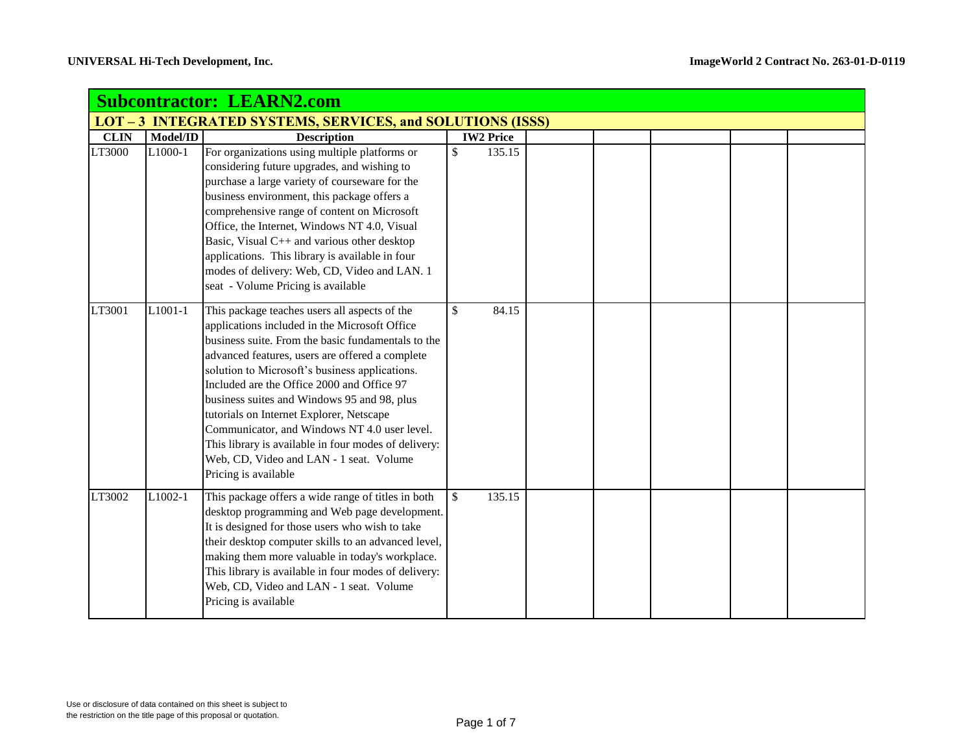| <b>Subcontractor: LEARN2.com</b> |          |                                                                                                                                                                                                                                                                                                                                                                                                                                                                                                                                                                               |                    |                  |  |  |  |  |  |
|----------------------------------|----------|-------------------------------------------------------------------------------------------------------------------------------------------------------------------------------------------------------------------------------------------------------------------------------------------------------------------------------------------------------------------------------------------------------------------------------------------------------------------------------------------------------------------------------------------------------------------------------|--------------------|------------------|--|--|--|--|--|
|                                  |          | <b>LOT - 3 INTEGRATED SYSTEMS, SERVICES, and SOLUTIONS (ISSS)</b>                                                                                                                                                                                                                                                                                                                                                                                                                                                                                                             |                    |                  |  |  |  |  |  |
| <b>CLIN</b>                      | Model/ID | <b>Description</b>                                                                                                                                                                                                                                                                                                                                                                                                                                                                                                                                                            |                    | <b>IW2 Price</b> |  |  |  |  |  |
| LT3000                           | L1000-1  | For organizations using multiple platforms or<br>considering future upgrades, and wishing to<br>purchase a large variety of courseware for the<br>business environment, this package offers a<br>comprehensive range of content on Microsoft<br>Office, the Internet, Windows NT 4.0, Visual<br>Basic, Visual C++ and various other desktop<br>applications. This library is available in four<br>modes of delivery: Web, CD, Video and LAN. 1<br>seat - Volume Pricing is available                                                                                          | \$                 | 135.15           |  |  |  |  |  |
| LT3001                           | L1001-1  | This package teaches users all aspects of the<br>applications included in the Microsoft Office<br>business suite. From the basic fundamentals to the<br>advanced features, users are offered a complete<br>solution to Microsoft's business applications.<br>Included are the Office 2000 and Office 97<br>business suites and Windows 95 and 98, plus<br>tutorials on Internet Explorer, Netscape<br>Communicator, and Windows NT 4.0 user level.<br>This library is available in four modes of delivery:<br>Web, CD, Video and LAN - 1 seat. Volume<br>Pricing is available | $\mathbf{\hat{S}}$ | 84.15            |  |  |  |  |  |
| LT3002                           | L1002-1  | This package offers a wide range of titles in both<br>desktop programming and Web page development.<br>It is designed for those users who wish to take<br>their desktop computer skills to an advanced level,<br>making them more valuable in today's workplace.<br>This library is available in four modes of delivery:<br>Web, CD, Video and LAN - 1 seat. Volume<br>Pricing is available                                                                                                                                                                                   | \$                 | 135.15           |  |  |  |  |  |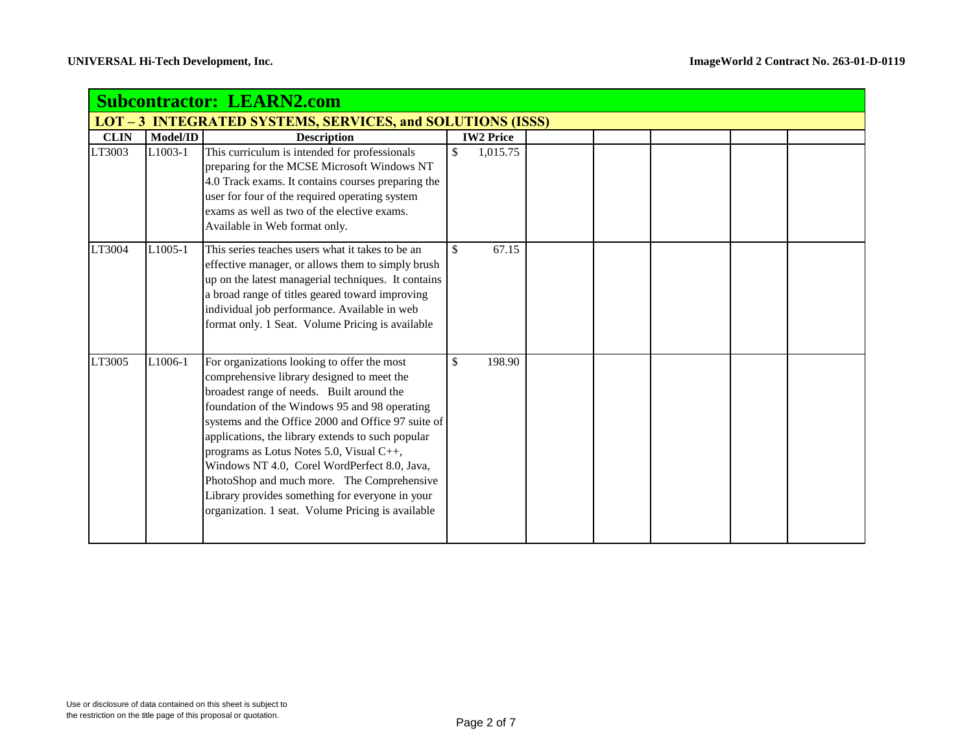|             | <b>Subcontractor: LEARN2.com</b> |                                                                                                                                                                                                                                                                                                                                                                                                                                                                                                                                                      |                        |  |  |  |  |  |  |  |
|-------------|----------------------------------|------------------------------------------------------------------------------------------------------------------------------------------------------------------------------------------------------------------------------------------------------------------------------------------------------------------------------------------------------------------------------------------------------------------------------------------------------------------------------------------------------------------------------------------------------|------------------------|--|--|--|--|--|--|--|
|             |                                  | LOT-3 INTEGRATED SYSTEMS, SERVICES, and SOLUTIONS (ISSS)                                                                                                                                                                                                                                                                                                                                                                                                                                                                                             |                        |  |  |  |  |  |  |  |
| <b>CLIN</b> | Model/ID                         | <b>Description</b>                                                                                                                                                                                                                                                                                                                                                                                                                                                                                                                                   | <b>IW2 Price</b>       |  |  |  |  |  |  |  |
| LT3003      | L1003-1                          | This curriculum is intended for professionals<br>preparing for the MCSE Microsoft Windows NT<br>4.0 Track exams. It contains courses preparing the<br>user for four of the required operating system<br>exams as well as two of the elective exams.<br>Available in Web format only.                                                                                                                                                                                                                                                                 | \$<br>1,015.75         |  |  |  |  |  |  |  |
| LT3004      | L1005-1                          | This series teaches users what it takes to be an<br>effective manager, or allows them to simply brush<br>up on the latest managerial techniques. It contains<br>a broad range of titles geared toward improving<br>individual job performance. Available in web<br>format only. 1 Seat. Volume Pricing is available                                                                                                                                                                                                                                  | $\mathcal{S}$<br>67.15 |  |  |  |  |  |  |  |
| LT3005      | L1006-1                          | For organizations looking to offer the most<br>comprehensive library designed to meet the<br>broadest range of needs. Built around the<br>foundation of the Windows 95 and 98 operating<br>systems and the Office 2000 and Office 97 suite of<br>applications, the library extends to such popular<br>programs as Lotus Notes 5.0, Visual C++,<br>Windows NT 4.0, Corel WordPerfect 8.0, Java,<br>PhotoShop and much more. The Comprehensive<br>Library provides something for everyone in your<br>organization. 1 seat. Volume Pricing is available | \$<br>198.90           |  |  |  |  |  |  |  |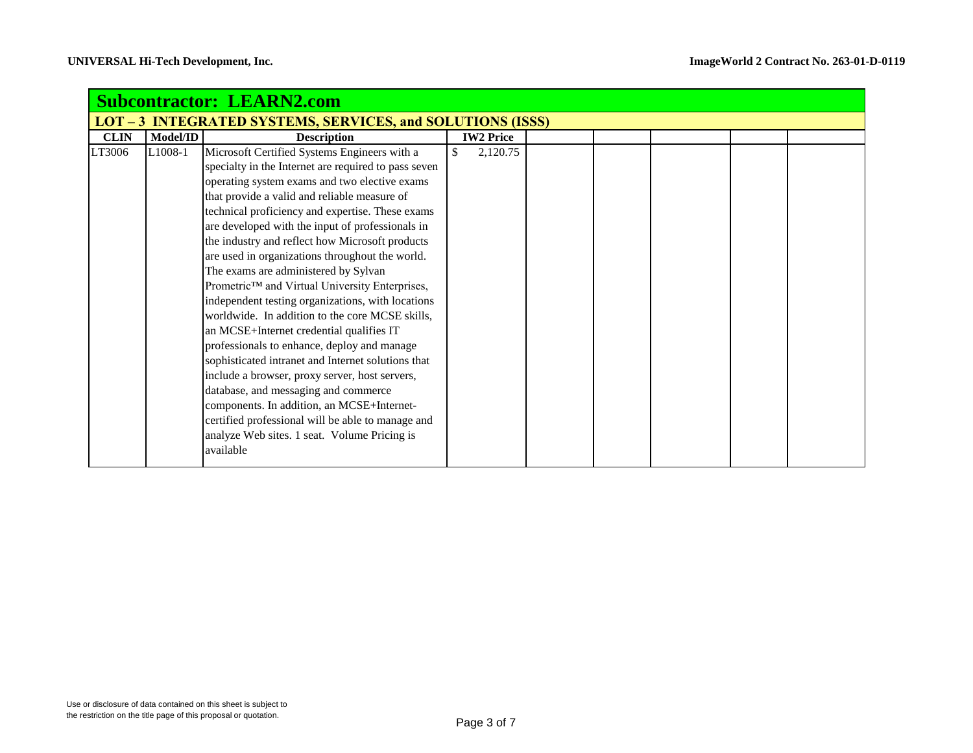| <b>Subcontractor: LEARN2.com</b>                                  |                                                 |  |  |  |  |  |  |  |  |
|-------------------------------------------------------------------|-------------------------------------------------|--|--|--|--|--|--|--|--|
| <b>LOT - 3 INTEGRATED SYSTEMS, SERVICES, and SOLUTIONS (ISSS)</b> |                                                 |  |  |  |  |  |  |  |  |
| <b>Description</b>                                                | <b>IW2 Price</b>                                |  |  |  |  |  |  |  |  |
| Microsoft Certified Systems Engineers with a                      | \$<br>2,120.75                                  |  |  |  |  |  |  |  |  |
| specialty in the Internet are required to pass seven              |                                                 |  |  |  |  |  |  |  |  |
| operating system exams and two elective exams                     |                                                 |  |  |  |  |  |  |  |  |
| that provide a valid and reliable measure of                      |                                                 |  |  |  |  |  |  |  |  |
| technical proficiency and expertise. These exams                  |                                                 |  |  |  |  |  |  |  |  |
| are developed with the input of professionals in                  |                                                 |  |  |  |  |  |  |  |  |
|                                                                   |                                                 |  |  |  |  |  |  |  |  |
| are used in organizations throughout the world.                   |                                                 |  |  |  |  |  |  |  |  |
| The exams are administered by Sylvan                              |                                                 |  |  |  |  |  |  |  |  |
| Prometric™ and Virtual University Enterprises,                    |                                                 |  |  |  |  |  |  |  |  |
| independent testing organizations, with locations                 |                                                 |  |  |  |  |  |  |  |  |
| worldwide. In addition to the core MCSE skills,                   |                                                 |  |  |  |  |  |  |  |  |
| an MCSE+Internet credential qualifies IT                          |                                                 |  |  |  |  |  |  |  |  |
| professionals to enhance, deploy and manage                       |                                                 |  |  |  |  |  |  |  |  |
| sophisticated intranet and Internet solutions that                |                                                 |  |  |  |  |  |  |  |  |
| include a browser, proxy server, host servers,                    |                                                 |  |  |  |  |  |  |  |  |
| database, and messaging and commerce                              |                                                 |  |  |  |  |  |  |  |  |
| components. In addition, an MCSE+Internet-                        |                                                 |  |  |  |  |  |  |  |  |
| certified professional will be able to manage and                 |                                                 |  |  |  |  |  |  |  |  |
| analyze Web sites. 1 seat. Volume Pricing is                      |                                                 |  |  |  |  |  |  |  |  |
| available                                                         |                                                 |  |  |  |  |  |  |  |  |
| Model/ID                                                          | the industry and reflect how Microsoft products |  |  |  |  |  |  |  |  |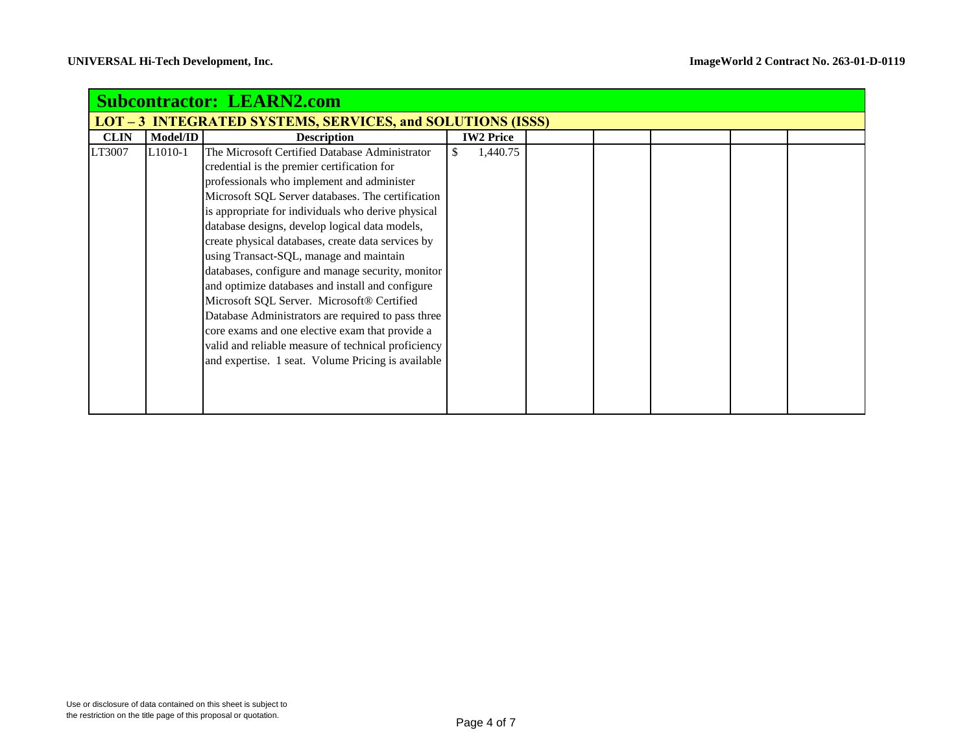| <b>Subcontractor: LEARN2.com</b> |                                                                   |                                                                                                                                                                                                                                                                                                                                                                                                                                                                                                                                                                                                                                                                                                                                                                                        |  |                  |  |  |  |  |  |  |  |
|----------------------------------|-------------------------------------------------------------------|----------------------------------------------------------------------------------------------------------------------------------------------------------------------------------------------------------------------------------------------------------------------------------------------------------------------------------------------------------------------------------------------------------------------------------------------------------------------------------------------------------------------------------------------------------------------------------------------------------------------------------------------------------------------------------------------------------------------------------------------------------------------------------------|--|------------------|--|--|--|--|--|--|--|
|                                  | <b>LOT - 3 INTEGRATED SYSTEMS, SERVICES, and SOLUTIONS (ISSS)</b> |                                                                                                                                                                                                                                                                                                                                                                                                                                                                                                                                                                                                                                                                                                                                                                                        |  |                  |  |  |  |  |  |  |  |
| <b>CLIN</b>                      | Model/ID                                                          | <b>Description</b>                                                                                                                                                                                                                                                                                                                                                                                                                                                                                                                                                                                                                                                                                                                                                                     |  | <b>IW2 Price</b> |  |  |  |  |  |  |  |
| LT3007                           | L <sub>1010</sub> -1                                              | The Microsoft Certified Database Administrator<br>credential is the premier certification for<br>professionals who implement and administer<br>Microsoft SQL Server databases. The certification<br>is appropriate for individuals who derive physical<br>database designs, develop logical data models,<br>create physical databases, create data services by<br>using Transact-SQL, manage and maintain<br>databases, configure and manage security, monitor<br>and optimize databases and install and configure<br>Microsoft SQL Server. Microsoft® Certified<br>Database Administrators are required to pass three<br>core exams and one elective exam that provide a<br>valid and reliable measure of technical proficiency<br>and expertise. 1 seat. Volume Pricing is available |  | 1,440.75         |  |  |  |  |  |  |  |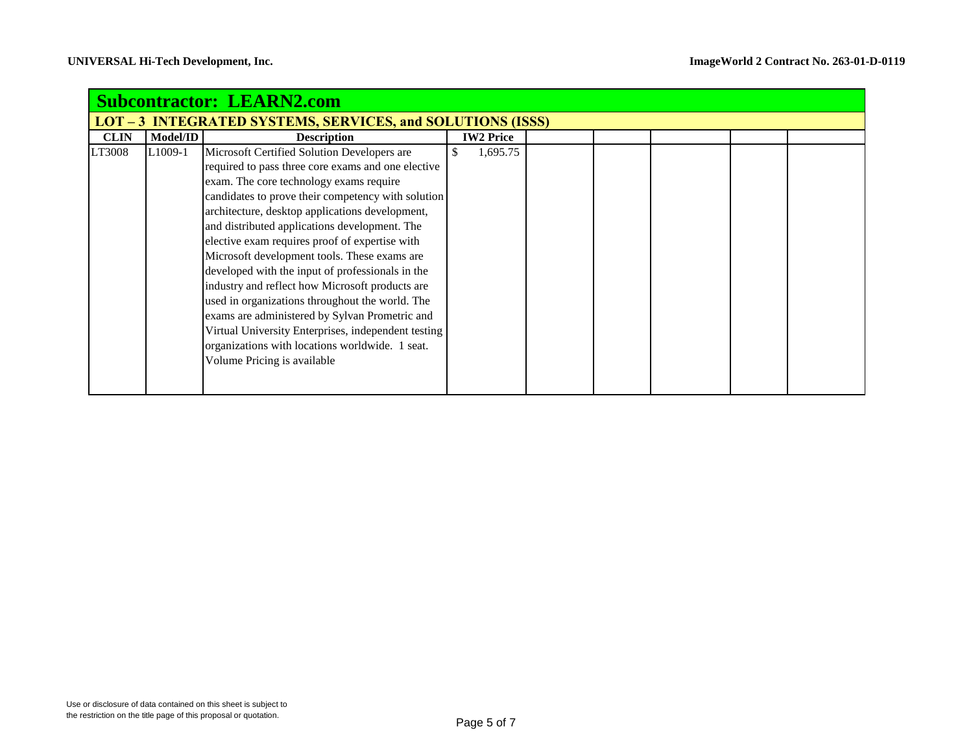| <b>Subcontractor: LEARN2.com</b> |                                                                   |                                                     |                  |  |  |  |  |  |  |  |
|----------------------------------|-------------------------------------------------------------------|-----------------------------------------------------|------------------|--|--|--|--|--|--|--|
|                                  | <b>LOT - 3 INTEGRATED SYSTEMS, SERVICES, and SOLUTIONS (ISSS)</b> |                                                     |                  |  |  |  |  |  |  |  |
| <b>CLIN</b>                      | Model/ID                                                          | <b>Description</b>                                  | <b>IW2 Price</b> |  |  |  |  |  |  |  |
| LT3008                           | L <sub>1</sub> 009-1                                              | Microsoft Certified Solution Developers are         | 1,695.75         |  |  |  |  |  |  |  |
|                                  |                                                                   | required to pass three core exams and one elective  |                  |  |  |  |  |  |  |  |
|                                  |                                                                   | exam. The core technology exams require             |                  |  |  |  |  |  |  |  |
|                                  |                                                                   | candidates to prove their competency with solution  |                  |  |  |  |  |  |  |  |
|                                  |                                                                   | architecture, desktop applications development,     |                  |  |  |  |  |  |  |  |
|                                  |                                                                   | and distributed applications development. The       |                  |  |  |  |  |  |  |  |
|                                  |                                                                   | elective exam requires proof of expertise with      |                  |  |  |  |  |  |  |  |
|                                  |                                                                   | Microsoft development tools. These exams are        |                  |  |  |  |  |  |  |  |
|                                  |                                                                   | developed with the input of professionals in the    |                  |  |  |  |  |  |  |  |
|                                  |                                                                   | industry and reflect how Microsoft products are     |                  |  |  |  |  |  |  |  |
|                                  |                                                                   | used in organizations throughout the world. The     |                  |  |  |  |  |  |  |  |
|                                  |                                                                   | exams are administered by Sylvan Prometric and      |                  |  |  |  |  |  |  |  |
|                                  |                                                                   | Virtual University Enterprises, independent testing |                  |  |  |  |  |  |  |  |
|                                  |                                                                   | organizations with locations worldwide. 1 seat.     |                  |  |  |  |  |  |  |  |
|                                  |                                                                   | Volume Pricing is available                         |                  |  |  |  |  |  |  |  |
|                                  |                                                                   |                                                     |                  |  |  |  |  |  |  |  |
|                                  |                                                                   |                                                     |                  |  |  |  |  |  |  |  |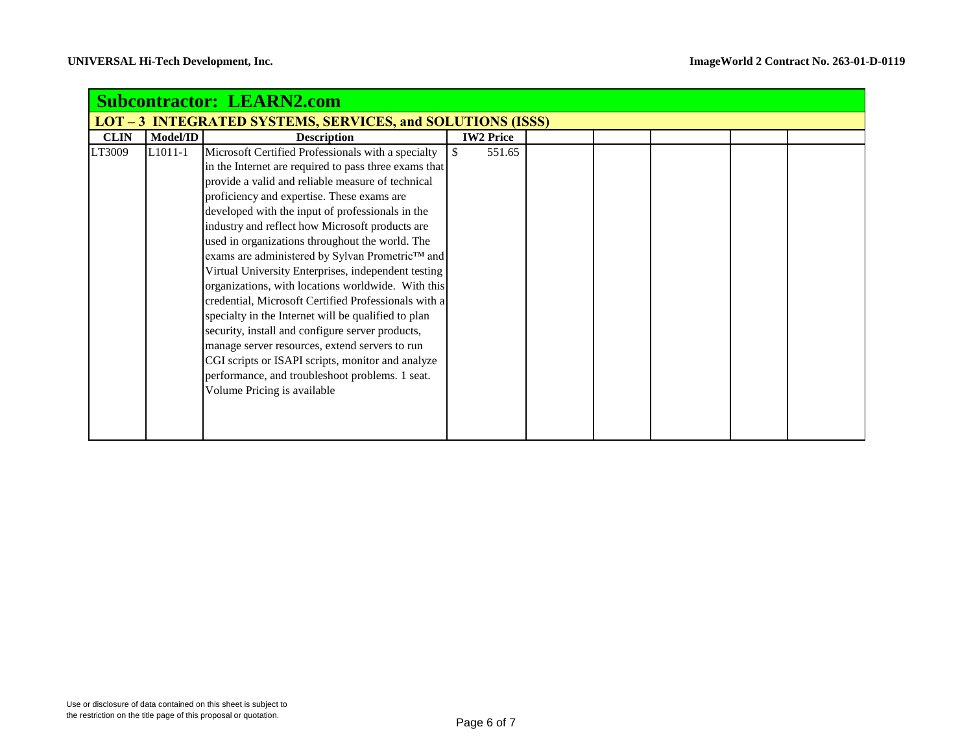| <b>Subcontractor: LEARN2.com</b> |                      |                                                                                                                                                                                                                                                                                                                                                                                                                                                                                                                                                                                                                                                                                                                                                                                                                                                                                                      |                         |  |  |  |  |  |  |
|----------------------------------|----------------------|------------------------------------------------------------------------------------------------------------------------------------------------------------------------------------------------------------------------------------------------------------------------------------------------------------------------------------------------------------------------------------------------------------------------------------------------------------------------------------------------------------------------------------------------------------------------------------------------------------------------------------------------------------------------------------------------------------------------------------------------------------------------------------------------------------------------------------------------------------------------------------------------------|-------------------------|--|--|--|--|--|--|
|                                  |                      | <b>LOT - 3 INTEGRATED SYSTEMS, SERVICES, and SOLUTIONS (ISSS)</b>                                                                                                                                                                                                                                                                                                                                                                                                                                                                                                                                                                                                                                                                                                                                                                                                                                    |                         |  |  |  |  |  |  |
| <b>CLIN</b>                      | Model/ID             | <b>Description</b>                                                                                                                                                                                                                                                                                                                                                                                                                                                                                                                                                                                                                                                                                                                                                                                                                                                                                   | <b>IW2 Price</b>        |  |  |  |  |  |  |
| LT3009                           | L <sub>1011</sub> -1 | Microsoft Certified Professionals with a specialty<br>in the Internet are required to pass three exams that<br>provide a valid and reliable measure of technical<br>proficiency and expertise. These exams are<br>developed with the input of professionals in the<br>industry and reflect how Microsoft products are<br>used in organizations throughout the world. The<br>exams are administered by Sylvan Prometric™ and<br>Virtual University Enterprises, independent testing<br>organizations, with locations worldwide. With this<br>credential, Microsoft Certified Professionals with a<br>specialty in the Internet will be qualified to plan<br>security, install and configure server products,<br>manage server resources, extend servers to run<br>CGI scripts or ISAPI scripts, monitor and analyze<br>performance, and troubleshoot problems. 1 seat.<br>Volume Pricing is available | <sup>\$</sup><br>551.65 |  |  |  |  |  |  |